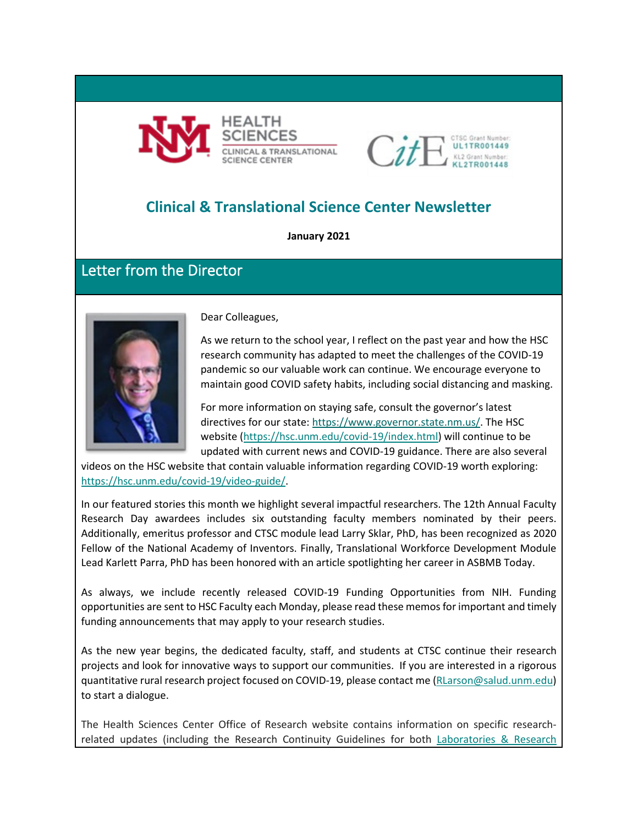



## **Clinical & Translational Science Center Newsletter**

**January 2021**

### Letter from the Director



Dear Colleagues,

As we return to the school year, I reflect on the past year and how the HSC research community has adapted to meet the challenges of the COVID-19 pandemic so our valuable work can continue. We encourage everyone to maintain good COVID safety habits, including social distancing and masking.

For more information on staying safe, consult the governor's latest directives for our state[: https://www.governor.state.nm.us/.](https://www.governor.state.nm.us/) The HSC website [\(https://hsc.unm.edu/covid-19/index.html\)](https://hsc.unm.edu/covid-19/index.html) will continue to be updated with current news and COVID-19 guidance. There are also several

videos on the HSC website that contain valuable information regarding COVID-19 worth exploring: [https://hsc.unm.edu/covid-19/video-guide/.](https://hsc.unm.edu/covid-19/video-guide/)

In our featured stories this month we highlight several impactful researchers. The 12th Annual Faculty Research Day awardees includes six outstanding faculty members nominated by their peers. Additionally, emeritus professor and CTSC module lead Larry Sklar, PhD, has been recognized as 2020 Fellow of the National Academy of Inventors. Finally, Translational Workforce Development Module Lead Karlett Parra, PhD has been honored with an article spotlighting her career in ASBMB Today.

As always, we include recently released COVID-19 Funding Opportunities from NIH. Funding opportunities are sent to HSC Faculty each Monday, please read these memos for important and timely funding announcements that may apply to your research studies.

As the new year begins, the dedicated faculty, staff, and students at CTSC continue their research projects and look for innovative ways to support our communities. If you are interested in a rigorous quantitative rural research project focused on COVID-19, please contact me [\(RLarson@salud.unm.edu\)](mailto:RLarson@salud.unm.edu) to start a dialogue.

The Health Sciences Center Office of Research website contains information on specific researchrelated updates (including the Research Continuity Guidelines for both Laboratories & Research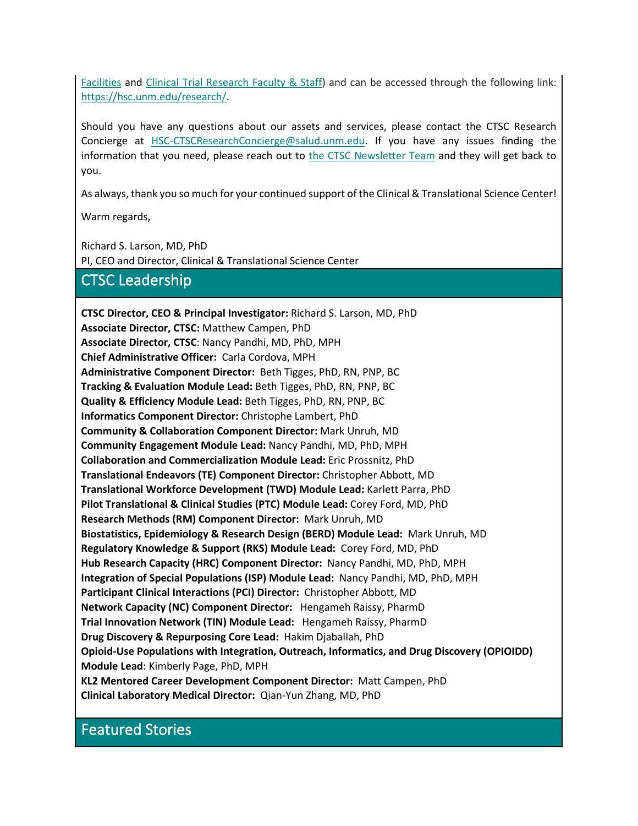[Facilities](https://hsc.unm.edu/research/common/docs/research-continuity-guidance.pdf) and [Clinical Trial Research Faculty & Staff\)](https://hsc.unm.edu/research/common/docs/3-18-2020-covid-guidance-for-clinical-researchers.pdf) and can be accessed through the following link: [https://hsc.unm.edu/research/.](https://hsc.unm.edu/research/)

Should you have any questions about our assets and services, please contact the CTSC Research Concierge at [HSC-CTSCResearchConcierge@salud.unm.edu.](mailto:HSC-CTSCResearchConcierge@salud.unm.edu) If you have any issues finding the information that you need, please reach out to [the CTSC Newsletter Team](mailto:MKrakeDalton@salud.unm.edu;%20cncordova@salud.unm.edu?subject=CTSC%20Newsletter%20Question/Feedback) and they will get back to you.

As always, thank you so much for your continued support of the Clinical & Translational Science Center!

Warm regards,

Richard S. Larson, MD, PhD PI, CEO and Director, Clinical & Translational Science Center

### CTSC Leadership

**CTSC Director, CEO & Principal Investigator:** Richard S. Larson, MD, PhD **Associate Director, CTSC:** Matthew Campen, PhD **Associate Director, CTSC**: Nancy Pandhi, MD, PhD, MPH **Chief Administrative Officer:** Carla Cordova, MPH **Administrative Component Director:** Beth Tigges, PhD, RN, PNP, BC **Tracking & Evaluation Module Lead:** Beth Tigges, PhD, RN, PNP, BC **Quality & Efficiency Module Lead:** Beth Tigges, PhD, RN, PNP, BC **Informatics Component Director:** Christophe Lambert, PhD **Community & Collaboration Component Director:** Mark Unruh, MD **Community Engagement Module Lead:** Nancy Pandhi, MD, PhD, MPH **Collaboration and Commercialization Module Lead:** Eric Prossnitz, PhD **Translational Endeavors (TE) Component Director:** Christopher Abbott, MD **Translational Workforce Development (TWD) Module Lead:** Karlett Parra, PhD **Pilot Translational & Clinical Studies (PTC) Module Lead:** Corey Ford, MD, PhD **Research Methods (RM) Component Director:** Mark Unruh, MD **Biostatistics, Epidemiology & Research Design (BERD) Module Lead:** Mark Unruh, MD **Regulatory Knowledge & Support (RKS) Module Lead:** Corey Ford, MD, PhD **Hub Research Capacity (HRC) Component Director:** Nancy Pandhi, MD, PhD, MPH **Integration of Special Populations (ISP) Module Lead:** Nancy Pandhi, MD, PhD, MPH **Participant Clinical Interactions (PCI) Director:** Christopher Abbott, MD **Network Capacity (NC) Component Director:** Hengameh Raissy, PharmD **Trial Innovation Network (TIN) Module Lead:** Hengameh Raissy, PharmD **Drug Discovery & Repurposing Core Lead:** Hakim Djaballah, PhD **Opioid-Use Populations with Integration, Outreach, Informatics, and Drug Discovery (OPIOIDD) Module Lead**: Kimberly Page, PhD, MPH **KL2 Mentored Career Development Component Director:** Matt Campen, PhD **Clinical Laboratory Medical Director:** Qian-Yun Zhang, MD, PhD

## Featured Stories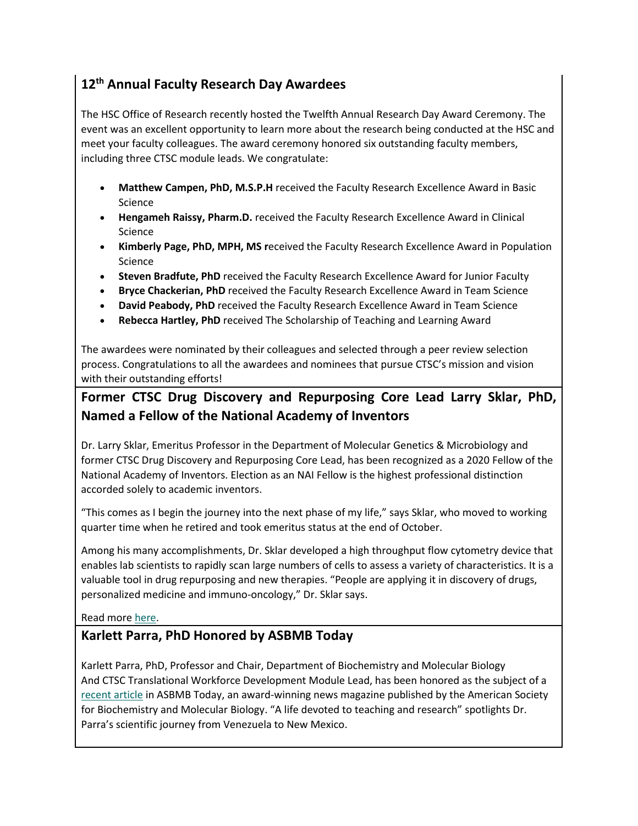### **12th Annual Faculty Research Day Awardees**

The HSC Office of Research recently hosted the Twelfth Annual Research Day Award Ceremony. The event was an excellent opportunity to learn more about the research being conducted at the HSC and meet your faculty colleagues. The award ceremony honored six outstanding faculty members, including three CTSC module leads. We congratulate:

- **Matthew Campen, PhD, M.S.P.H** received the Faculty Research Excellence Award in Basic Science
- **Hengameh Raissy, Pharm.D.** received the Faculty Research Excellence Award in Clinical Science
- **Kimberly Page, PhD, MPH, MS r**eceived the Faculty Research Excellence Award in Population Science
- **Steven Bradfute, PhD** received the Faculty Research Excellence Award for Junior Faculty
- **Bryce Chackerian, PhD** received the Faculty Research Excellence Award in Team Science
- **David Peabody, PhD** received the Faculty Research Excellence Award in Team Science
- **Rebecca Hartley, PhD** received The Scholarship of Teaching and Learning Award

The awardees were nominated by their colleagues and selected through a peer review selection process. Congratulations to all the awardees and nominees that pursue CTSC's mission and vision with their outstanding efforts!

### **Former CTSC Drug Discovery and Repurposing Core Lead Larry Sklar, PhD, Named a Fellow of the National Academy of Inventors**

Dr. Larry Sklar, Emeritus Professor in the Department of Molecular Genetics & Microbiology and former CTSC Drug Discovery and Repurposing Core Lead, has been recognized as a 2020 Fellow of the National Academy of Inventors. Election as an NAI Fellow is the highest professional distinction accorded solely to academic inventors.

"This comes as I begin the journey into the next phase of my life," says Sklar, who moved to working quarter time when he retired and took emeritus status at the end of October.

Among his many accomplishments, Dr. Sklar developed a high throughput flow cytometry device that enables lab scientists to rapidly scan large numbers of cells to assess a variety of characteristics. It is a valuable tool in drug repurposing and new therapies. "People are applying it in discovery of drugs, personalized medicine and immuno-oncology," Dr. Sklar says.

Read more [here.](https://innovations.unm.edu/unm-inventor-elected-2020-fellow-of-the-national-academy-of-inventors/)

### **Karlett Parra, PhD Honored by ASBMB Today**

Karlett Parra, PhD, Professor and Chair, Department of Biochemistry and Molecular Biology And CTSC Translational Workforce Development Module Lead, has been honored as the subject of a [recent article](https://www.asbmb.org/asbmb-today/people/120320/a-life-devoted-to-teaching-and-research) in ASBMB Today, an award-winning news magazine published by the American Society for Biochemistry and Molecular Biology. "A life devoted to teaching and research" spotlights Dr. Parra's scientific journey from Venezuela to New Mexico.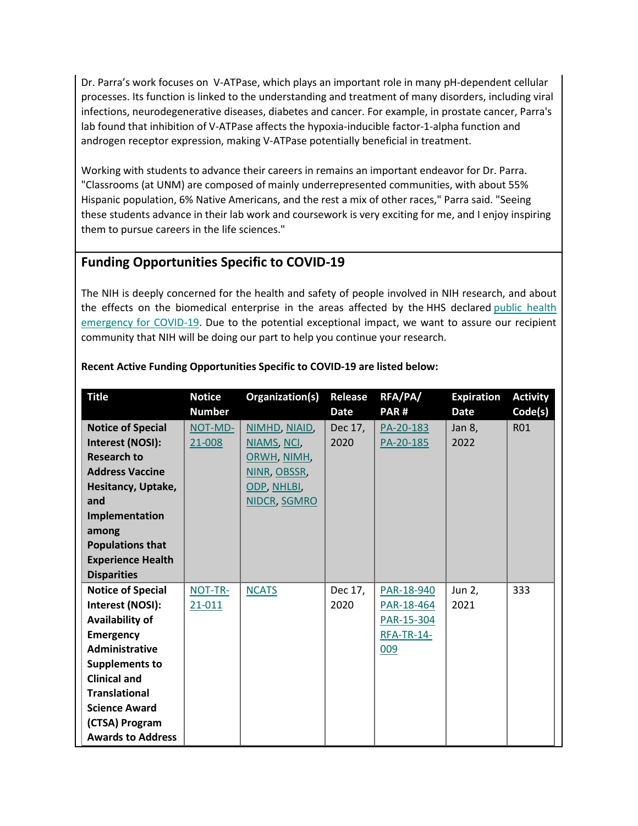Dr. Parra's work focuses on V-ATPase, which plays an important role in many pH-dependent cellular processes. Its function is linked to the understanding and treatment of many disorders, including viral infections, neurodegenerative diseases, diabetes and cancer. For example, in prostate cancer, Parra's lab found that inhibition of V-ATPase affects the hypoxia-inducible factor-1-alpha function and androgen receptor expression, making V-ATPase potentially beneficial in treatment.

Working with students to advance their careers in remains an important endeavor for Dr. Parra. "Classrooms (at UNM) are composed of mainly underrepresented communities, with about 55% Hispanic population, 6% Native Americans, and the rest a mix of other races," Parra said. "Seeing these students advance in their lab work and coursework is very exciting for me, and I enjoy inspiring them to pursue careers in the life sciences."

### **Funding Opportunities Specific to COVID-19**

The NIH is deeply concerned for the health and safety of people involved in NIH research, and about the effects on the biomedical enterprise in the areas affected by the HHS declared [public health](https://www.hhs.gov/about/news/2020/01/31/secretary-azar-declares-public-health-emergency-us-2019-novel-coronavirus.html)  [emergency for COVID-19.](https://www.hhs.gov/about/news/2020/01/31/secretary-azar-declares-public-health-emergency-us-2019-novel-coronavirus.html) Due to the potential exceptional impact, we want to assure our recipient community that NIH will be doing our part to help you continue your research.

| <b>Title</b>             | <b>Notice</b> | Organization(s) | Release     | RFA/PA/           | <b>Expiration</b> | <b>Activity</b> |
|--------------------------|---------------|-----------------|-------------|-------------------|-------------------|-----------------|
|                          | <b>Number</b> |                 | <b>Date</b> | PAR#              | <b>Date</b>       | Code(s)         |
| <b>Notice of Special</b> | NOT-MD-       | NIMHD, NIAID,   | Dec 17,     | PA-20-183         | Jan 8,            | <b>R01</b>      |
| Interest (NOSI):         | 21-008        | NIAMS, NCI,     | 2020        | PA-20-185         | 2022              |                 |
| <b>Research to</b>       |               | ORWH, NIMH,     |             |                   |                   |                 |
| <b>Address Vaccine</b>   |               | NINR, OBSSR,    |             |                   |                   |                 |
| Hesitancy, Uptake,       |               | ODP, NHLBI,     |             |                   |                   |                 |
| and                      |               | NIDCR, SGMRO    |             |                   |                   |                 |
| Implementation           |               |                 |             |                   |                   |                 |
| among                    |               |                 |             |                   |                   |                 |
| <b>Populations that</b>  |               |                 |             |                   |                   |                 |
| <b>Experience Health</b> |               |                 |             |                   |                   |                 |
| <b>Disparities</b>       |               |                 |             |                   |                   |                 |
| <b>Notice of Special</b> | NOT-TR-       | <b>NCATS</b>    | Dec 17,     | PAR-18-940        | Jun 2,            | 333             |
| Interest (NOSI):         | $21 - 011$    |                 | 2020        | PAR-18-464        | 2021              |                 |
| Availability of          |               |                 |             | PAR-15-304        |                   |                 |
| <b>Emergency</b>         |               |                 |             | <b>RFA-TR-14-</b> |                   |                 |
| Administrative           |               |                 |             | 009               |                   |                 |
| <b>Supplements to</b>    |               |                 |             |                   |                   |                 |
| <b>Clinical and</b>      |               |                 |             |                   |                   |                 |
| <b>Translational</b>     |               |                 |             |                   |                   |                 |
| <b>Science Award</b>     |               |                 |             |                   |                   |                 |
| (CTSA) Program           |               |                 |             |                   |                   |                 |
| <b>Awards to Address</b> |               |                 |             |                   |                   |                 |

#### **Recent Active Funding Opportunities Specific to COVID-19 are listed below:**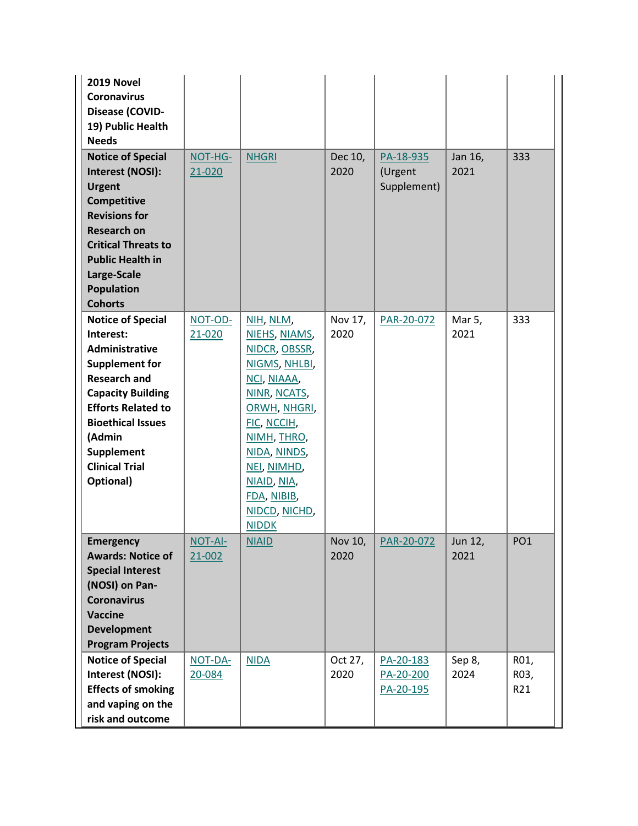| 2019 Novel<br><b>Coronavirus</b><br>Disease (COVID-<br>19) Public Health<br><b>Needs</b>                                                                                                                                                                   |                       |                                                                                                                                                                                                                                         |                 |                                     |                 |                     |
|------------------------------------------------------------------------------------------------------------------------------------------------------------------------------------------------------------------------------------------------------------|-----------------------|-----------------------------------------------------------------------------------------------------------------------------------------------------------------------------------------------------------------------------------------|-----------------|-------------------------------------|-----------------|---------------------|
| <b>Notice of Special</b><br>Interest (NOSI):<br><b>Urgent</b><br><b>Competitive</b><br><b>Revisions for</b><br><b>Research on</b><br><b>Critical Threats to</b><br><b>Public Health in</b><br>Large-Scale<br><b>Population</b><br><b>Cohorts</b>           | NOT-HG-<br>21-020     | <b>NHGRI</b>                                                                                                                                                                                                                            | Dec 10,<br>2020 | PA-18-935<br>(Urgent<br>Supplement) | Jan 16,<br>2021 | 333                 |
| <b>Notice of Special</b><br>Interest:<br>Administrative<br><b>Supplement for</b><br><b>Research and</b><br><b>Capacity Building</b><br><b>Efforts Related to</b><br><b>Bioethical Issues</b><br>(Admin<br>Supplement<br><b>Clinical Trial</b><br>Optional) | NOT-OD-<br>21-020     | NIH, NLM,<br>NIEHS, NIAMS,<br>NIDCR, OBSSR,<br>NIGMS, NHLBI,<br>NCI, NIAAA,<br>NINR, NCATS,<br>ORWH, NHGRI,<br>FIC, NCCIH,<br>NIMH, THRO,<br>NIDA, NINDS,<br>NEI, NIMHD,<br>NIAID, NIA,<br>FDA, NIBIB,<br>NIDCD, NICHD,<br><b>NIDDK</b> | Nov 17,<br>2020 | PAR-20-072                          | Mar 5,<br>2021  | 333                 |
| <b>Emergency</b><br><b>Awards: Notice of</b><br><b>Special Interest</b><br>(NOSI) on Pan-<br><b>Coronavirus</b><br><b>Vaccine</b><br><b>Development</b><br><b>Program Projects</b>                                                                         | NOT-AI-<br>$21 - 002$ | <b>NIAID</b>                                                                                                                                                                                                                            | Nov 10,<br>2020 | PAR-20-072                          | Jun 12,<br>2021 | PO <sub>1</sub>     |
| <b>Notice of Special</b><br>Interest (NOSI):<br><b>Effects of smoking</b><br>and vaping on the<br>risk and outcome                                                                                                                                         | NOT-DA-<br>20-084     | <b>NIDA</b>                                                                                                                                                                                                                             | Oct 27,<br>2020 | PA-20-183<br>PA-20-200<br>PA-20-195 | Sep 8,<br>2024  | R01,<br>R03,<br>R21 |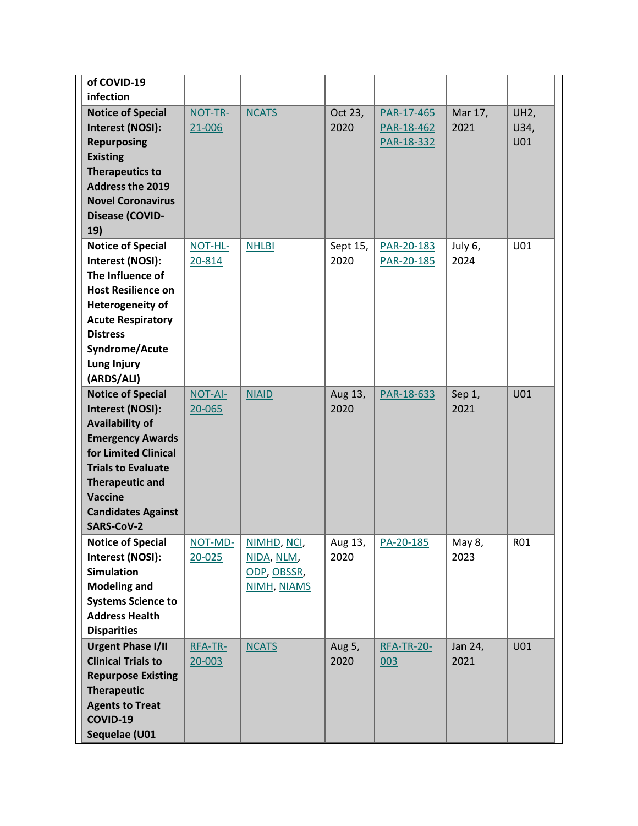| of COVID-19<br>infection                                                                                                                                                                                                               |                       |                                                         |                  |                                        |                 |                     |
|----------------------------------------------------------------------------------------------------------------------------------------------------------------------------------------------------------------------------------------|-----------------------|---------------------------------------------------------|------------------|----------------------------------------|-----------------|---------------------|
| <b>Notice of Special</b><br>Interest (NOSI):<br><b>Repurposing</b><br><b>Existing</b><br><b>Therapeutics to</b><br><b>Address the 2019</b><br><b>Novel Coronavirus</b><br>Disease (COVID-<br>19)                                       | NOT-TR-<br>21-006     | <b>NCATS</b>                                            | Oct 23,<br>2020  | PAR-17-465<br>PAR-18-462<br>PAR-18-332 | Mar 17,<br>2021 | UH2,<br>U34,<br>U01 |
| <b>Notice of Special</b><br>Interest (NOSI):<br>The Influence of<br><b>Host Resilience on</b><br><b>Heterogeneity of</b><br><b>Acute Respiratory</b><br><b>Distress</b><br>Syndrome/Acute<br>Lung Injury<br>(ARDS/ALI)                 | NOT-HL-<br>20-814     | <b>NHLBI</b>                                            | Sept 15,<br>2020 | PAR-20-183<br>PAR-20-185               | July 6,<br>2024 | U01                 |
| <b>Notice of Special</b><br>Interest (NOSI):<br><b>Availability of</b><br><b>Emergency Awards</b><br>for Limited Clinical<br><b>Trials to Evaluate</b><br><b>Therapeutic and</b><br>Vaccine<br><b>Candidates Against</b><br>SARS-CoV-2 | NOT-AI-<br>20-065     | <b>NIAID</b>                                            | Aug 13,<br>2020  | PAR-18-633                             | Sep 1,<br>2021  | U01                 |
| <b>Notice of Special</b><br>Interest (NOSI):<br><b>Simulation</b><br><b>Modeling and</b><br><b>Systems Science to</b><br><b>Address Health</b><br><b>Disparities</b>                                                                   | NOT-MD-<br>$20 - 025$ | NIMHD, NCI,<br>NIDA, NLM,<br>ODP, OBSSR,<br>NIMH, NIAMS | Aug 13,<br>2020  | PA-20-185                              | May 8,<br>2023  | R01                 |
| <b>Urgent Phase I/II</b><br><b>Clinical Trials to</b><br><b>Repurpose Existing</b><br><b>Therapeutic</b><br><b>Agents to Treat</b><br>COVID-19<br>Sequelae (U01                                                                        | RFA-TR-<br>$20 - 003$ | <b>NCATS</b>                                            | Aug 5,<br>2020   | <b>RFA-TR-20-</b><br>003               | Jan 24,<br>2021 | U01                 |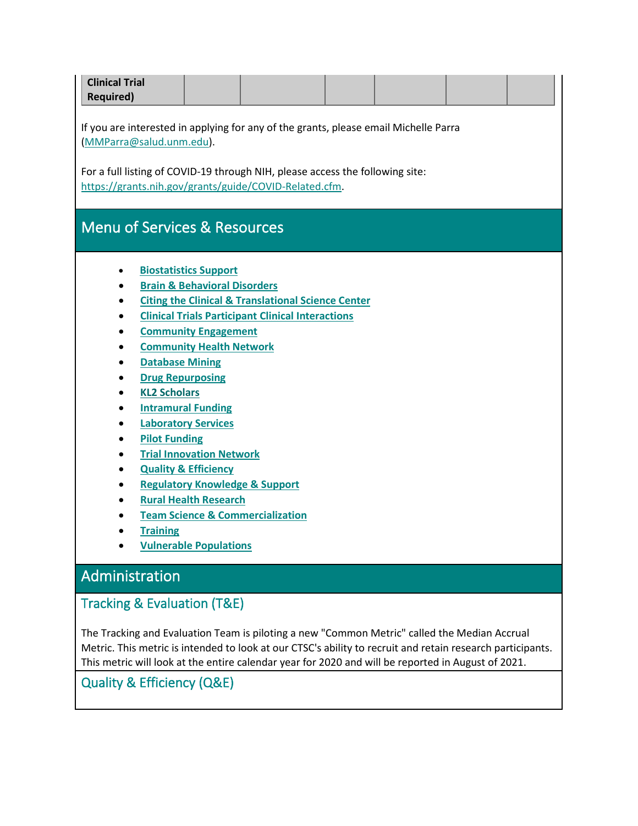| <b>Clinical Trial</b><br><b>Required)</b>                                                                                                                                                                                         |                                                                                                                                                                                                                                                                                                                                             |                                                                                                                                                                                                                       |  |  |                                                                                                            |
|-----------------------------------------------------------------------------------------------------------------------------------------------------------------------------------------------------------------------------------|---------------------------------------------------------------------------------------------------------------------------------------------------------------------------------------------------------------------------------------------------------------------------------------------------------------------------------------------|-----------------------------------------------------------------------------------------------------------------------------------------------------------------------------------------------------------------------|--|--|------------------------------------------------------------------------------------------------------------|
| If you are interested in applying for any of the grants, please email Michelle Parra<br>(MMParra@salud.unm.edu).                                                                                                                  |                                                                                                                                                                                                                                                                                                                                             |                                                                                                                                                                                                                       |  |  |                                                                                                            |
| For a full listing of COVID-19 through NIH, please access the following site:<br>https://grants.nih.gov/grants/guide/COVID-Related.cfm.                                                                                           |                                                                                                                                                                                                                                                                                                                                             |                                                                                                                                                                                                                       |  |  |                                                                                                            |
| <b>Menu of Services &amp; Resources</b>                                                                                                                                                                                           |                                                                                                                                                                                                                                                                                                                                             |                                                                                                                                                                                                                       |  |  |                                                                                                            |
| ٠<br>٠<br>$\bullet$<br><b>Database Mining</b><br><b>Drug Repurposing</b><br><b>KL2 Scholars</b><br><b>Pilot Funding</b><br>٠<br>٠<br>٠<br><b>Training</b>                                                                         | <b>Biostatistics Support</b><br><b>Brain &amp; Behavioral Disorders</b><br><b>Community Engagement</b><br><b>Community Health Network</b><br><b>Intramural Funding</b><br><b>Laboratory Services</b><br><b>Trial Innovation Network</b><br><b>Quality &amp; Efficiency</b><br><b>Rural Health Research</b><br><b>Vulnerable Populations</b> | <b>Citing the Clinical &amp; Translational Science Center</b><br><b>Clinical Trials Participant Clinical Interactions</b><br><b>Regulatory Knowledge &amp; Support</b><br><b>Team Science &amp; Commercialization</b> |  |  |                                                                                                            |
| Administration                                                                                                                                                                                                                    |                                                                                                                                                                                                                                                                                                                                             |                                                                                                                                                                                                                       |  |  |                                                                                                            |
| Tracking & Evaluation (T&E)<br>The Tracking and Evaluation Team is piloting a new "Common Metric" called the Median Accrual<br>This metric will look at the entire calendar year for 2020 and will be reported in August of 2021. |                                                                                                                                                                                                                                                                                                                                             |                                                                                                                                                                                                                       |  |  | Metric. This metric is intended to look at our CTSC's ability to recruit and retain research participants. |

<span id="page-6-0"></span>Quality & Efficiency (Q&E)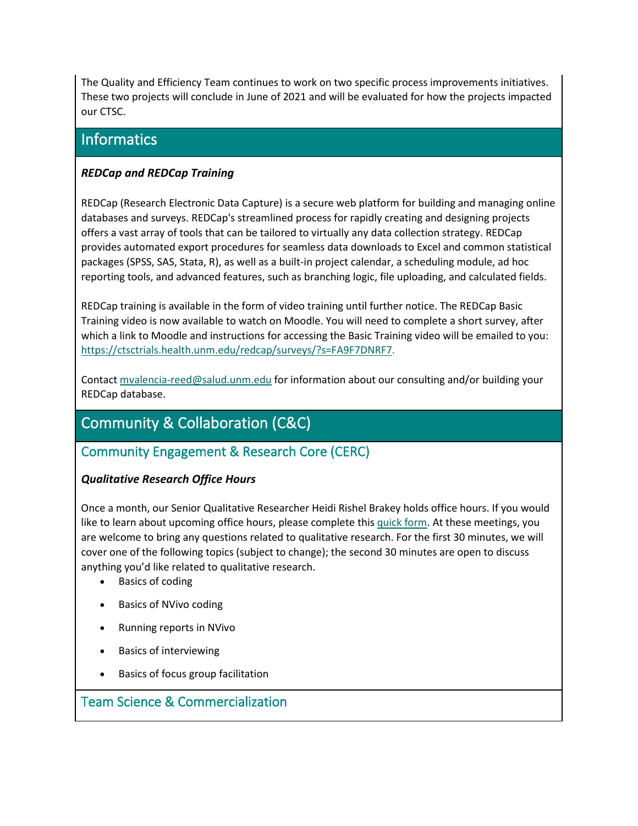The Quality and Efficiency Team continues to work on two specific process improvements initiatives. These two projects will conclude in June of 2021 and will be evaluated for how the projects impacted our CTSC.

### **Informatics**

#### *REDCap and REDCap Training*

REDCap (Research Electronic Data Capture) is a secure web platform for building and managing online databases and surveys. REDCap's streamlined process for rapidly creating and designing projects offers a vast array of tools that can be tailored to virtually any data collection strategy. REDCap provides automated export procedures for seamless data downloads to Excel and common statistical packages (SPSS, SAS, Stata, R), as well as a built-in project calendar, a scheduling module, ad hoc reporting tools, and advanced features, such as branching logic, file uploading, and calculated fields.

REDCap training is available in the form of video training until further notice. The REDCap Basic Training video is now available to watch on Moodle. You will need to complete a short survey, after which a link to Moodle and instructions for accessing the Basic Training video will be emailed to you: [https://ctsctrials.health.unm.edu/redcap/surveys/?s=FA9F7DNRF7.](https://ctsctrials.health.unm.edu/redcap/surveys/?s=FA9F7DNRF7)

Contact [mvalencia-reed@salud.unm.edu](mailto:mvalencia-reed@salud.unm.edu) for information about our consulting and/or building your REDCap database.

## Community & Collaboration (C&C)

### Community Engagement & Research Core (CERC)

#### *Qualitative Research Office Hours*

Once a month, our Senior Qualitative Researcher Heidi Rishel Brakey holds office hours. If you would like to learn about upcoming office hours, please complete this [quick form.](https://ctsctrials.health.unm.edu/redcap/surveys/?s=RYDC9MY9J8) At these meetings, you are welcome to bring any questions related to qualitative research. For the first 30 minutes, we will cover one of the following topics (subject to change); the second 30 minutes are open to discuss anything you'd like related to qualitative research.

- Basics of coding
- Basics of NVivo coding
- Running reports in NVivo
- Basics of interviewing
- Basics of focus group facilitation

### <span id="page-7-0"></span>Team Science & Commercialization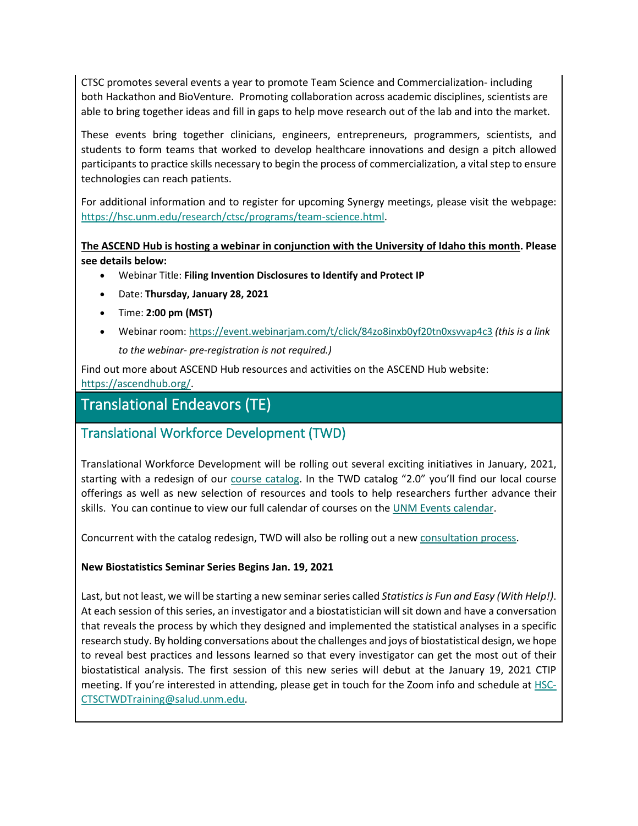CTSC promotes several events a year to promote Team Science and Commercialization- including both Hackathon and BioVenture. Promoting collaboration across academic disciplines, scientists are able to bring together ideas and fill in gaps to help move research out of the lab and into the market.

These events bring together clinicians, engineers, entrepreneurs, programmers, scientists, and students to form teams that worked to develop healthcare innovations and design a pitch allowed participants to practice skills necessary to begin the process of commercialization, a vital step to ensure technologies can reach patients.

For additional information and to register for upcoming Synergy meetings, please visit the webpage: [https://hsc.unm.edu/research/ctsc/programs/team-science.html.](https://hsc.unm.edu/research/ctsc/programs/team-science.html)

**The ASCEND Hub is hosting a webinar in conjunction with the University of Idaho this month. Please see details below:**

- Webinar Title: **Filing Invention Disclosures to Identify and Protect IP**
- Date: **Thursday, January 28, 2021**
- Time: **2:00 pm (MST)**
- Webinar room:<https://event.webinarjam.com/t/click/84zo8inxb0yf20tn0xsvvap4c3> *(this is a link to the webinar- pre-registration is not required.)*

Find out more about ASCEND Hub resources and activities on the ASCEND Hub website: [https://ascendhub.org/.](https://ascendhub.org/)

### Translational Endeavors (TE)

### <span id="page-8-0"></span>Translational Workforce Development (TWD)

Translational Workforce Development will be rolling out several exciting initiatives in January, 2021, starting with a redesign of our [course catalog.](https://hsc.unm.edu/research/ctsc/training/training-summaries/) In the TWD catalog "2.0" you'll find our local course offerings as well as new selection of resources and tools to help researchers further advance their skills. You can continue to view our full calendar of courses on the [UNM Events calendar.](https://unmevents.unm.edu/site/hsc?category=e80bcc4a-124b-494d-8945-054a0092ef35&view=grid.)

Concurrent with the catalog redesign, TWD will also be rolling out a new [consultation process.](https://ctsctrials.health.unm.edu/redcap/surveys/?s=LEJC8CWYLT)

#### **New Biostatistics Seminar Series Begins Jan. 19, 2021**

Last, but not least, we will be starting a new seminar series called *Statistics is Fun and Easy (With Help!)*. At each session of this series, an investigator and a biostatistician will sit down and have a conversation that reveals the process by which they designed and implemented the statistical analyses in a specific research study. By holding conversations about the challenges and joys of biostatistical design, we hope to reveal best practices and lessons learned so that every investigator can get the most out of their biostatistical analysis. The first session of this new series will debut at the January 19, 2021 CTIP meeting. If you're interested in attending, please get in touch for the Zoom info and schedule at **HSC-**[CTSCTWDTraining@salud.unm.edu.](mailto:HSC-CTSCTWDTraining@salud.unm.edu)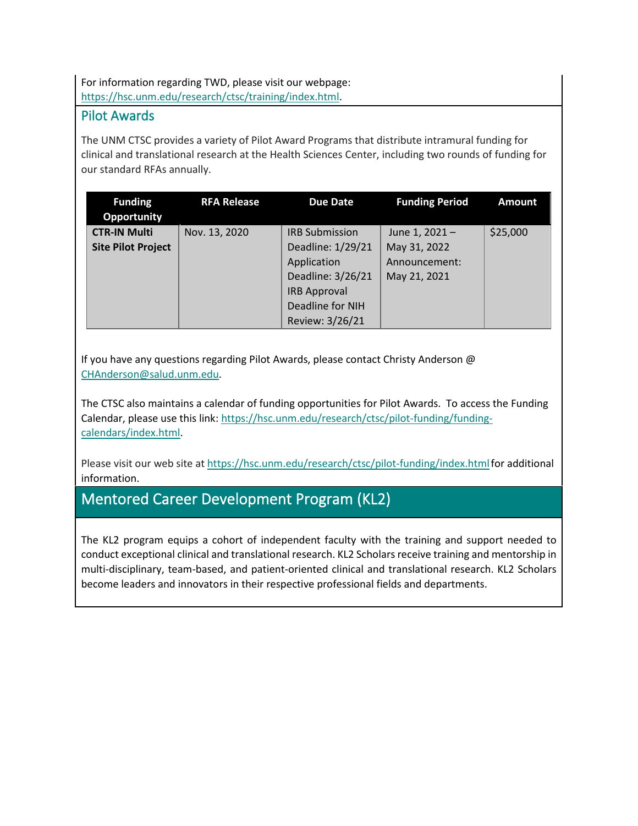For information regarding TWD, please visit our webpage: [https://hsc.unm.edu/research/ctsc/training/index.html.](https://hsc.unm.edu/research/ctsc/training/index.html)

#### <span id="page-9-0"></span>Pilot Awards

The UNM CTSC provides a variety of Pilot Award Programs that distribute intramural funding for clinical and translational research at the Health Sciences Center, including two rounds of funding for our standard RFAs annually.

| <b>Funding</b><br>Opportunity                    | <b>RFA Release</b> | <b>Due Date</b>                                                                                                                              | <b>Funding Period</b>                                          | <b>Amount</b> |
|--------------------------------------------------|--------------------|----------------------------------------------------------------------------------------------------------------------------------------------|----------------------------------------------------------------|---------------|
| <b>CTR-IN Multi</b><br><b>Site Pilot Project</b> | Nov. 13, 2020      | <b>IRB Submission</b><br>Deadline: 1/29/21<br>Application<br>Deadline: 3/26/21<br><b>IRB Approval</b><br>Deadline for NIH<br>Review: 3/26/21 | June 1, 2021-<br>May 31, 2022<br>Announcement:<br>May 21, 2021 | \$25,000      |

If you have any questions regarding Pilot Awards, please contact Christy Anderson @ [CHAnderson@salud.unm.edu.](mailto:CHAnderson@salud.unm.edu)

The CTSC also maintains a calendar of funding opportunities for Pilot Awards. To access the Funding Calendar, please use this link: [https://hsc.unm.edu/research/ctsc/pilot-funding/funding](https://hsc.unm.edu/research/ctsc/pilot-funding/funding-calendars/index.html)[calendars/index.html.](https://hsc.unm.edu/research/ctsc/pilot-funding/funding-calendars/index.html)

Please visit our web site at https://hsc.unm.edu/research/ctsc/pilot-funding/index.html for additional information.

## Mentored Career Development Program (KL2)

The KL2 program equips a cohort of independent faculty with the training and support needed to conduct exceptional clinical and translational research. KL2 Scholars receive training and mentorship in multi-disciplinary, team-based, and patient-oriented clinical and translational research. KL2 Scholars become leaders and innovators in their respective professional fields and departments.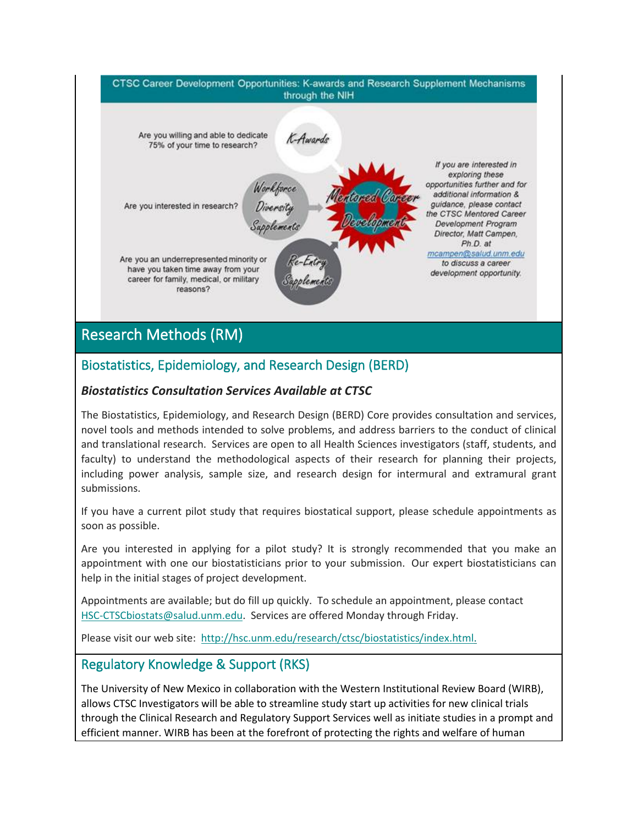

# Research Methods (RM)

### Biostatistics, Epidemiology, and Research Design (BERD)

#### *Biostatistics Consultation Services Available at CTSC*

The Biostatistics, Epidemiology, and Research Design (BERD) Core provides consultation and services, novel tools and methods intended to solve problems, and address barriers to the conduct of clinical and translational research. Services are open to all Health Sciences investigators (staff, students, and faculty) to understand the methodological aspects of their research for planning their projects, including power analysis, sample size, and research design for intermural and extramural grant submissions.

If you have a current pilot study that requires biostatical support, please schedule appointments as soon as possible.

Are you interested in applying for a pilot study? It is strongly recommended that you make an appointment with one our biostatisticians prior to your submission. Our expert biostatisticians can help in the initial stages of project development.

Appointments are available; but do fill up quickly. To schedule an appointment, please contact [HSC-CTSCbiostats@salud.unm.edu.](mailto:HSC-CTSCbiostats@salud.unm.edu) Services are offered Monday through Friday.

Please visit our web site: [http://hsc.unm.edu/research/ctsc/biostatistics/index.html.](http://hsc.unm.edu/research/ctsc/biostatistics/index.html)

### <span id="page-10-0"></span>Regulatory Knowledge & Support (RKS)

The University of New Mexico in collaboration with the Western Institutional Review Board (WIRB), allows CTSC Investigators will be able to streamline study start up activities for new clinical trials through the Clinical Research and Regulatory Support Services well as initiate studies in a prompt and efficient manner. WIRB has been at the forefront of protecting the rights and welfare of human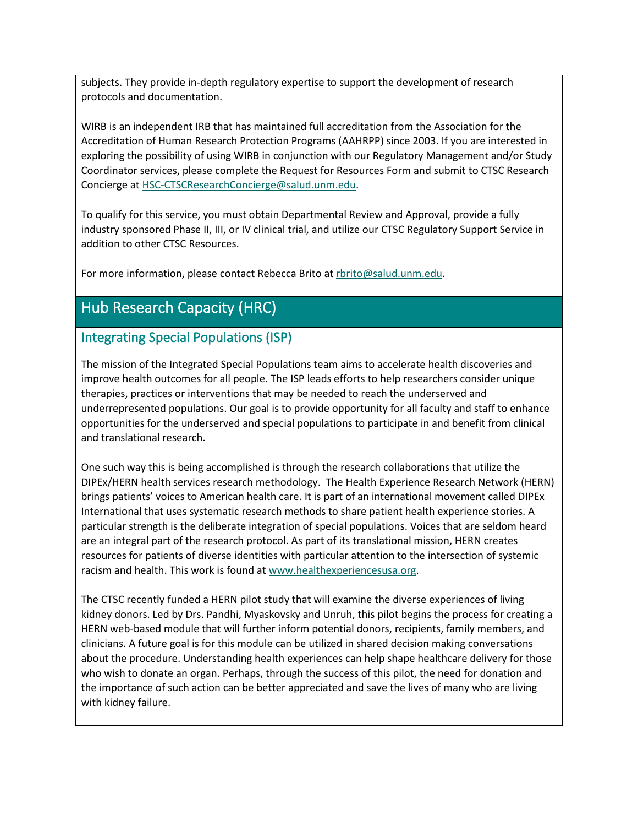subjects. They provide in-depth regulatory expertise to support the development of research protocols and documentation.

WIRB is an independent IRB that has maintained full accreditation from the Association for the Accreditation of Human Research Protection Programs (AAHRPP) since 2003. If you are interested in exploring the possibility of using WIRB in conjunction with our Regulatory Management and/or Study Coordinator services, please complete the Request for Resources Form and submit to CTSC Research Concierge a[t HSC-CTSCResearchConcierge@salud.unm.edu.](mailto:HSC-CTSCResearchConcierge@salud.unm.edu)

To qualify for this service, you must obtain Departmental Review and Approval, provide a fully industry sponsored Phase II, III, or IV clinical trial, and utilize our CTSC Regulatory Support Service in addition to other CTSC Resources.

For more information, please contact Rebecca Brito a[t rbrito@salud.unm.edu.](mailto:rbrito@salud.unm.edu)

## Hub Research Capacity (HRC)

### Integrating Special Populations (ISP)

The mission of the Integrated Special Populations team aims to accelerate health discoveries and improve health outcomes for all people. The ISP leads efforts to help researchers consider unique therapies, practices or interventions that may be needed to reach the underserved and underrepresented populations. Our goal is to provide opportunity for all faculty and staff to enhance opportunities for the underserved and special populations to participate in and benefit from clinical and translational research.

One such way this is being accomplished is through the research collaborations that utilize the DIPEx/HERN health services research methodology. The Health Experience Research Network (HERN) brings patients' voices to American health care. It is part of an international movement called DIPEx International that uses systematic research methods to share patient health experience stories. A particular strength is the deliberate integration of special populations. Voices that are seldom heard are an integral part of the research protocol. As part of its translational mission, HERN creates resources for patients of diverse identities with particular attention to the intersection of systemic racism and health. This work is found at [www.healthexperiencesusa.org.](http://www.healthexperiencesusa.org/)

The CTSC recently funded a HERN pilot study that will examine the diverse experiences of living kidney donors. Led by Drs. Pandhi, Myaskovsky and Unruh, this pilot begins the process for creating a HERN web-based module that will further inform potential donors, recipients, family members, and clinicians. A future goal is for this module can be utilized in shared decision making conversations about the procedure. Understanding health experiences can help shape healthcare delivery for those who wish to donate an organ. Perhaps, through the success of this pilot, the need for donation and the importance of such action can be better appreciated and save the lives of many who are living with kidney failure.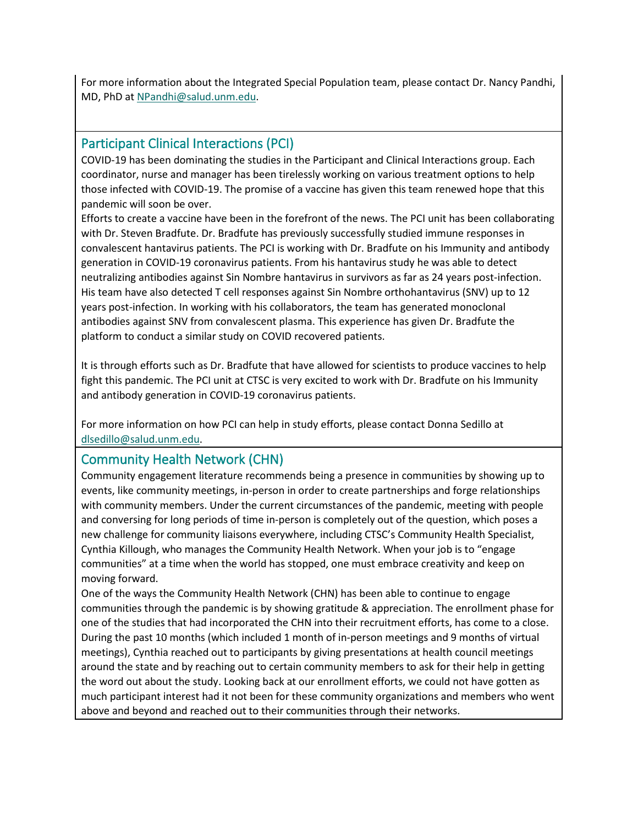For more information about the Integrated Special Population team, please contact Dr. Nancy Pandhi, MD, PhD a[t NPandhi@salud.unm.edu.](mailto:NPandhi@salud.unm.edu)

#### <span id="page-12-1"></span>Participant Clinical Interactions (PCI)

COVID-19 has been dominating the studies in the Participant and Clinical Interactions group. Each coordinator, nurse and manager has been tirelessly working on various treatment options to help those infected with COVID-19. The promise of a vaccine has given this team renewed hope that this pandemic will soon be over.

Efforts to create a vaccine have been in the forefront of the news. The PCI unit has been collaborating with Dr. Steven Bradfute. Dr. Bradfute has previously successfully studied immune responses in convalescent hantavirus patients. The PCI is working with Dr. Bradfute on his Immunity and antibody generation in COVID-19 coronavirus patients. From his hantavirus study he was able to detect neutralizing antibodies against Sin Nombre hantavirus in survivors as far as 24 years post-infection. His team have also detected T cell responses against Sin Nombre orthohantavirus (SNV) up to 12 years post-infection. In working with his collaborators, the team has generated monoclonal antibodies against SNV from convalescent plasma. This experience has given Dr. Bradfute the platform to conduct a similar study on COVID recovered patients.

It is through efforts such as Dr. Bradfute that have allowed for scientists to produce vaccines to help fight this pandemic. The PCI unit at CTSC is very excited to work with Dr. Bradfute on his Immunity and antibody generation in COVID-19 coronavirus patients.

For more information on how PCI can help in study efforts, please contact Donna Sedillo at [dlsedillo@salud.unm.edu.](mailto:dlsedillo@salud.unm.edu)

### <span id="page-12-0"></span>Community Health Network (CHN)

Community engagement literature recommends being a presence in communities by showing up to events, like community meetings, in-person in order to create partnerships and forge relationships with community members. Under the current circumstances of the pandemic, meeting with people and conversing for long periods of time in-person is completely out of the question, which poses a new challenge for community liaisons everywhere, including CTSC's Community Health Specialist, Cynthia Killough, who manages the Community Health Network. When your job is to "engage communities" at a time when the world has stopped, one must embrace creativity and keep on moving forward.

One of the ways the Community Health Network (CHN) has been able to continue to engage communities through the pandemic is by showing gratitude & appreciation. The enrollment phase for one of the studies that had incorporated the CHN into their recruitment efforts, has come to a close. During the past 10 months (which included 1 month of in-person meetings and 9 months of virtual meetings), Cynthia reached out to participants by giving presentations at health council meetings around the state and by reaching out to certain community members to ask for their help in getting the word out about the study. Looking back at our enrollment efforts, we could not have gotten as much participant interest had it not been for these community organizations and members who went above and beyond and reached out to their communities through their networks.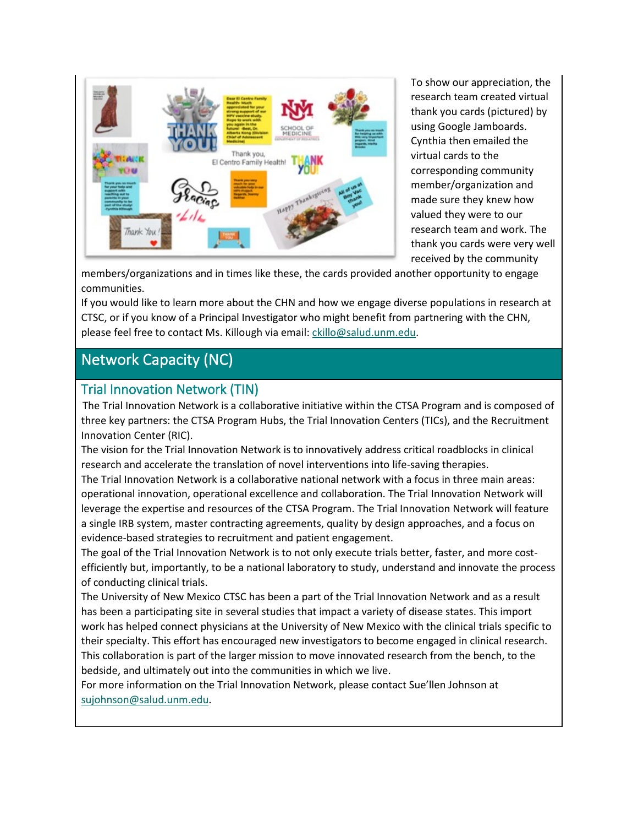

To show our appreciation, the research team created virtual thank you cards (pictured) by using Google Jamboards. Cynthia then emailed the virtual cards to the corresponding community member/organization and made sure they knew how valued they were to our research team and work. The thank you cards were very well received by the community

members/organizations and in times like these, the cards provided another opportunity to engage communities.

If you would like to learn more about the CHN and how we engage diverse populations in research at CTSC, or if you know of a Principal Investigator who might benefit from partnering with the CHN, please feel free to contact Ms. Killough via email[: ckillo@salud.unm.edu.](mailto:ckillo@salud.unm.edu)

# Network Capacity (NC)

#### <span id="page-13-0"></span>Trial Innovation Network (TIN)

The Trial Innovation Network is a collaborative initiative within the CTSA Program and is composed of three key partners: the CTSA Program Hubs, the Trial Innovation Centers (TICs), and the Recruitment Innovation Center (RIC).

The vision for the Trial Innovation Network is to innovatively address critical roadblocks in clinical research and accelerate the translation of novel interventions into life-saving therapies.

The Trial Innovation Network is a collaborative national network with a focus in three main areas: operational innovation, operational excellence and collaboration. The Trial Innovation Network will leverage the expertise and resources of the CTSA Program. The Trial Innovation Network will feature a single IRB system, master contracting agreements, quality by design approaches, and a focus on evidence-based strategies to recruitment and patient engagement.

The goal of the Trial Innovation Network is to not only execute trials better, faster, and more costefficiently but, importantly, to be a national laboratory to study, understand and innovate the process of conducting clinical trials.

The University of New Mexico CTSC has been a part of the Trial Innovation Network and as a result has been a participating site in several studies that impact a variety of disease states. This import work has helped connect physicians at the University of New Mexico with the clinical trials specific to their specialty. This effort has encouraged new investigators to become engaged in clinical research. This collaboration is part of the larger mission to move innovated research from the bench, to the bedside, and ultimately out into the communities in which we live.

For more information on the Trial Innovation Network, please contact Sue'llen Johnson at [sujohnson@salud.unm.edu.](mailto:sujohnson@salud.unm.edu)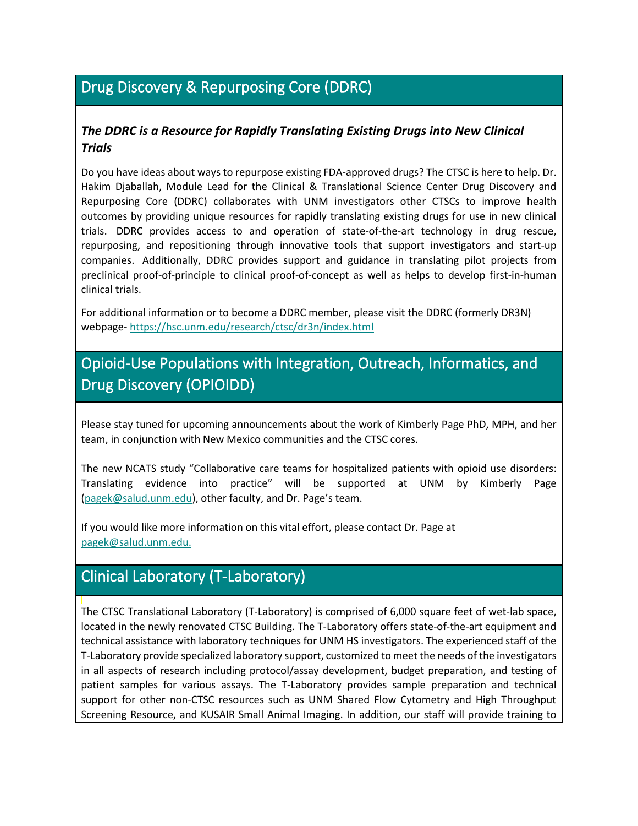# Drug Discovery & Repurposing Core (DDRC)

#### *The DDRC is a Resource for Rapidly Translating Existing Drugs into New Clinical Trials*

Do you have ideas about ways to repurpose existing FDA-approved drugs? The CTSC is here to help. Dr. Hakim Djaballah, Module Lead for the Clinical & Translational Science Center Drug Discovery and Repurposing Core (DDRC) collaborates with UNM investigators other CTSCs to improve health outcomes by providing unique resources for rapidly translating existing drugs for use in new clinical trials. DDRC provides access to and operation of state-of-the-art technology in drug rescue, repurposing, and repositioning through innovative tools that support investigators and start-up companies. Additionally, DDRC provides support and guidance in translating pilot projects from preclinical proof-of-principle to clinical proof-of-concept as well as helps to develop first-in-human clinical trials.

For additional information or to become a DDRC member, please visit the DDRC (formerly DR3N) webpage- <https://hsc.unm.edu/research/ctsc/dr3n/index.html>

# Opioid-Use Populations with Integration, Outreach, Informatics, and Drug Discovery (OPIOIDD)

Please stay tuned for upcoming announcements about the work of Kimberly Page PhD, MPH, and her team, in conjunction with New Mexico communities and the CTSC cores.

The new NCATS study "Collaborative care teams for hospitalized patients with opioid use disorders: Translating evidence into practice" will be supported at UNM by Kimberly Page [\(pagek@salud.unm.edu\)](mailto:pagek@salud.unm.edu), other faculty, and Dr. Page's team.

If you would like more information on this vital effort, please contact Dr. Page at [pagek@salud.unm.edu.](mailto:pagek@salud.unm.edu)

## <span id="page-14-0"></span>Clinical Laboratory (T-Laboratory)

The CTSC Translational Laboratory (T-Laboratory) is comprised of 6,000 square feet of wet-lab space, located in the newly renovated CTSC Building. The T-Laboratory offers state-of-the-art equipment and technical assistance with laboratory techniques for UNM HS investigators. The experienced staff of the T-Laboratory provide specialized laboratory support, customized to meet the needs of the investigators in all aspects of research including protocol/assay development, budget preparation, and testing of patient samples for various assays. The T-Laboratory provides sample preparation and technical support for other non-CTSC resources such as UNM Shared Flow Cytometry and High Throughput Screening Resource, and KUSAIR Small Animal Imaging. In addition, our staff will provide training to